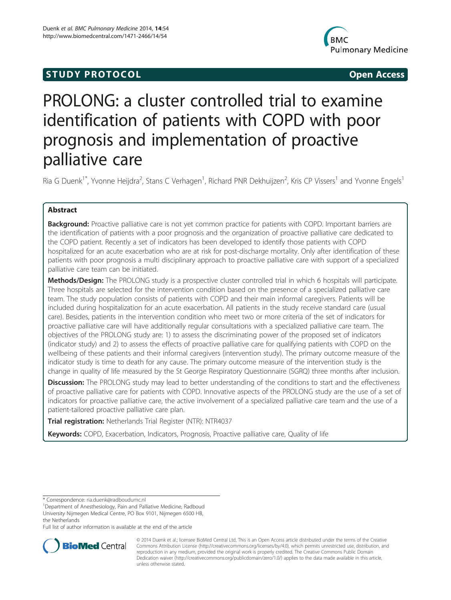# **STUDY PROTOCOL CONSUMING THE STUDY PROTOCOL**



# PROLONG: a cluster controlled trial to examine identification of patients with COPD with poor prognosis and implementation of proactive palliative care

Ria G Duenk<sup>1\*</sup>, Yvonne Heijdra<sup>2</sup>, Stans C Verhagen<sup>1</sup>, Richard PNR Dekhuijzen<sup>2</sup>, Kris CP Vissers<sup>1</sup> and Yvonne Engels<sup>1</sup>

# Abstract

Background: Proactive palliative care is not yet common practice for patients with COPD. Important barriers are the identification of patients with a poor prognosis and the organization of proactive palliative care dedicated to the COPD patient. Recently a set of indicators has been developed to identify those patients with COPD hospitalized for an acute exacerbation who are at risk for post-discharge mortality. Only after identification of these patients with poor prognosis a multi disciplinary approach to proactive palliative care with support of a specialized palliative care team can be initiated.

Methods/Design: The PROLONG study is a prospective cluster controlled trial in which 6 hospitals will participate. Three hospitals are selected for the intervention condition based on the presence of a specialized palliative care team. The study population consists of patients with COPD and their main informal caregivers. Patients will be included during hospitalization for an acute exacerbation. All patients in the study receive standard care (usual care). Besides, patients in the intervention condition who meet two or more criteria of the set of indicators for proactive palliative care will have additionally regular consultations with a specialized palliative care team. The objectives of the PROLONG study are: 1) to assess the discriminating power of the proposed set of indicators (indicator study) and 2) to assess the effects of proactive palliative care for qualifying patients with COPD on the wellbeing of these patients and their informal caregivers (intervention study). The primary outcome measure of the indicator study is time to death for any cause. The primary outcome measure of the intervention study is the change in quality of life measured by the St George Respiratory Questionnaire (SGRQ) three months after inclusion.

**Discussion:** The PROLONG study may lead to better understanding of the conditions to start and the effectiveness of proactive palliative care for patients with COPD. Innovative aspects of the PROLONG study are the use of a set of indicators for proactive palliative care, the active involvement of a specialized palliative care team and the use of a patient-tailored proactive palliative care plan.

Trial registration: Netherlands Trial Register (NTR): [NTR4037](http://www.trialregister.nl/trialreg/admin/rctsearch.asp?Term=4037)

Keywords: COPD, Exacerbation, Indicators, Prognosis, Proactive palliative care, Quality of life

\* Correspondence: [ria.duenk@radboudumc.nl](mailto:ria.duenk@radboudumc.nl) <sup>1</sup>

Full list of author information is available at the end of the article



© 2014 Duenk et al.; licensee BioMed Central Ltd. This is an Open Access article distributed under the terms of the Creative Commons Attribution License [\(http://creativecommons.org/licenses/by/4.0\)](http://creativecommons.org/licenses/by/4.0), which permits unrestricted use, distribution, and reproduction in any medium, provided the original work is properly credited. The Creative Commons Public Domain Dedication waiver [\(http://creativecommons.org/publicdomain/zero/1.0/](http://creativecommons.org/publicdomain/zero/1.0/)) applies to the data made available in this article, unless otherwise stated.

Department of Anesthesiology, Pain and Palliative Medicine, Radboud University Nijmegen Medical Centre, PO Box 9101, Nijmegen 6500 HB, the Netherlands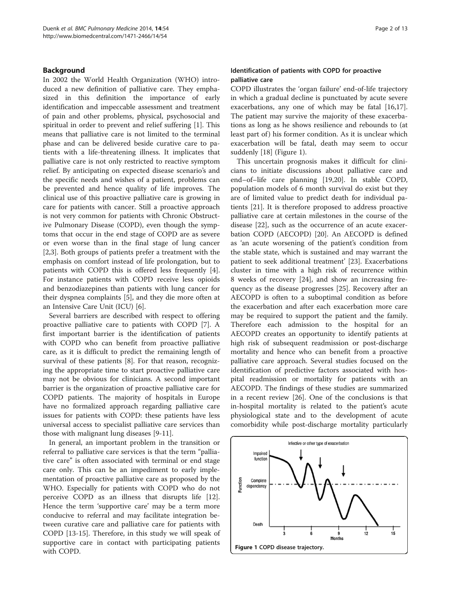#### Background

In 2002 the World Health Organization (WHO) introduced a new definition of palliative care. They emphasized in this definition the importance of early identification and impeccable assessment and treatment of pain and other problems, physical, psychosocial and spiritual in order to prevent and relief suffering [\[1\]](#page-11-0). This means that palliative care is not limited to the terminal phase and can be delivered beside curative care to patients with a life-threatening illness. It implicates that palliative care is not only restricted to reactive symptom relief. By anticipating on expected disease scenario's and the specific needs and wishes of a patient, problems can be prevented and hence quality of life improves. The clinical use of this proactive palliative care is growing in care for patients with cancer. Still a proactive approach is not very common for patients with Chronic Obstructive Pulmonary Disease (COPD), even though the symptoms that occur in the end stage of COPD are as severe or even worse than in the final stage of lung cancer [[2,3\]](#page-11-0). Both groups of patients prefer a treatment with the emphasis on comfort instead of life prolongation, but to patients with COPD this is offered less frequently [\[4](#page-11-0)]. For instance patients with COPD receive less opioids and benzodiazepines than patients with lung cancer for their dyspnea complaints [\[5](#page-11-0)], and they die more often at an Intensive Care Unit (ICU) [\[6](#page-11-0)].

Several barriers are described with respect to offering proactive palliative care to patients with COPD [[7\]](#page-11-0). A first important barrier is the identification of patients with COPD who can benefit from proactive palliative care, as it is difficult to predict the remaining length of survival of these patients [[8\]](#page-11-0). For that reason, recognizing the appropriate time to start proactive palliative care may not be obvious for clinicians. A second important barrier is the organization of proactive palliative care for COPD patients. The majority of hospitals in Europe have no formalized approach regarding palliative care issues for patients with COPD: these patients have less universal access to specialist palliative care services than those with malignant lung diseases [\[9](#page-11-0)-[11\]](#page-11-0).

In general, an important problem in the transition or referral to palliative care services is that the term "palliative care" is often associated with terminal or end stage care only. This can be an impediment to early implementation of proactive palliative care as proposed by the WHO. Especially for patients with COPD who do not perceive COPD as an illness that disrupts life [\[12](#page-11-0)]. Hence the term 'supportive care' may be a term more conducive to referral and may facilitate integration between curative care and palliative care for patients with COPD [\[13](#page-11-0)-[15\]](#page-11-0). Therefore, in this study we will speak of supportive care in contact with participating patients with COPD.

#### Identification of patients with COPD for proactive palliative care

COPD illustrates the 'organ failure' end-of-life trajectory in which a gradual decline is punctuated by acute severe exacerbations, any one of which may be fatal [\[16,17](#page-11-0)]. The patient may survive the majority of these exacerbations as long as he shows resilience and rebounds to (at least part of) his former condition. As it is unclear which exacerbation will be fatal, death may seem to occur suddenly [\[18\]](#page-11-0) (Figure 1).

This uncertain prognosis makes it difficult for clinicians to initiate discussions about palliative care and end–of–life care planning [\[19,20\]](#page-11-0). In stable COPD, population models of 6 month survival do exist but they are of limited value to predict death for individual patients [\[21\]](#page-11-0). It is therefore proposed to address proactive palliative care at certain milestones in the course of the disease [\[22\]](#page-11-0), such as the occurrence of an acute exacerbation COPD (AECOPD) [[20\]](#page-11-0). An AECOPD is defined as 'an acute worsening of the patient's condition from the stable state, which is sustained and may warrant the patient to seek additional treatment' [[23\]](#page-11-0). Exacerbations cluster in time with a high risk of recurrence within 8 weeks of recovery [\[24](#page-11-0)], and show an increasing frequency as the disease progresses [\[25](#page-11-0)]. Recovery after an AECOPD is often to a suboptimal condition as before the exacerbation and after each exacerbation more care may be required to support the patient and the family. Therefore each admission to the hospital for an AECOPD creates an opportunity to identify patients at high risk of subsequent readmission or post-discharge mortality and hence who can benefit from a proactive palliative care approach. Several studies focused on the identification of predictive factors associated with hospital readmission or mortality for patients with an AECOPD. The findings of these studies are summarized in a recent review [\[26](#page-11-0)]. One of the conclusions is that in-hospital mortality is related to the patient's acute physiological state and to the development of acute comorbidity while post-discharge mortality particularly

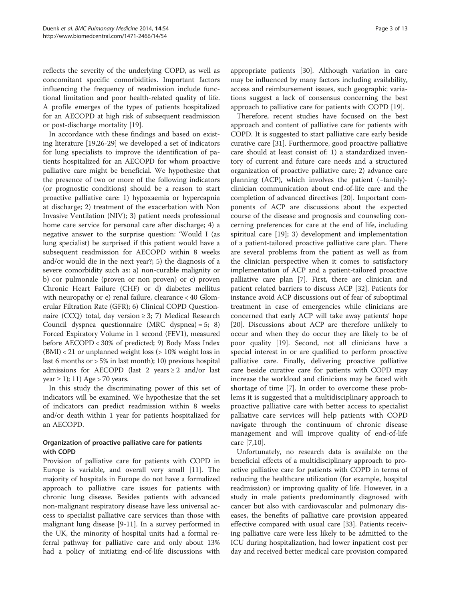reflects the severity of the underlying COPD, as well as concomitant specific comorbidities. Important factors influencing the frequency of readmission include functional limitation and poor health-related quality of life. A profile emerges of the types of patients hospitalized for an AECOPD at high risk of subsequent readmission or post-discharge mortality [[19\]](#page-11-0).

In accordance with these findings and based on existing literature [\[19,26](#page-11-0)-[29](#page-11-0)] we developed a set of indicators for lung specialists to improve the identification of patients hospitalized for an AECOPD for whom proactive palliative care might be beneficial. We hypothesize that the presence of two or more of the following indicators (or prognostic conditions) should be a reason to start proactive palliative care: 1) hypoxaemia or hypercapnia at discharge; 2) treatment of the exacerbation with Non Invasive Ventilation (NIV); 3) patient needs professional home care service for personal care after discharge; 4) a negative answer to the surprise question: 'Would I (as lung specialist) be surprised if this patient would have a subsequent readmission for AECOPD within 8 weeks and/or would die in the next year?; 5) the diagnosis of a severe comorbidity such as: a) non-curable malignity or b) cor pulmonale (proven or non proven) or c) proven Chronic Heart Failure (CHF) or d) diabetes mellitus with neuropathy or e) renal failure, clearance < 40 Glomerular Filtration Rate (GFR); 6) Clinical COPD Questionnaire (CCQ) total, day version ≥ 3; 7) Medical Research Council dyspnea questionnaire (MRC dyspnea) = 5; 8) Forced Expiratory Volume in 1 second (FEV1), measured before AECOPD < 30% of predicted; 9) Body Mass Index (BMI) < 21 or unplanned weight loss (> 10% weight loss in last 6 months or  $> 5\%$  in last month); 10) previous hospital admissions for AECOPD (last 2 years  $\geq 2$  and/or last year  $\ge$  1); 11) Age  $>$  70 years.

In this study the discriminating power of this set of indicators will be examined. We hypothesize that the set of indicators can predict readmission within 8 weeks and/or death within 1 year for patients hospitalized for an AECOPD.

# Organization of proactive palliative care for patients with COPD

Provision of palliative care for patients with COPD in Europe is variable, and overall very small [\[11\]](#page-11-0). The majority of hospitals in Europe do not have a formalized approach to palliative care issues for patients with chronic lung disease. Besides patients with advanced non-malignant respiratory disease have less universal access to specialist palliative care services than those with malignant lung disease [\[9](#page-11-0)-[11\]](#page-11-0). In a survey performed in the UK, the minority of hospital units had a formal referral pathway for palliative care and only about 13% had a policy of initiating end-of-life discussions with appropriate patients [[30](#page-11-0)]. Although variation in care may be influenced by many factors including availability, access and reimbursement issues, such geographic variations suggest a lack of consensus concerning the best approach to palliative care for patients with COPD [\[19](#page-11-0)].

Therefore, recent studies have focused on the best approach and content of palliative care for patients with COPD. It is suggested to start palliative care early beside curative care [\[31](#page-11-0)]. Furthermore, good proactive palliative care should at least consist of: 1) a standardized inventory of current and future care needs and a structured organization of proactive palliative care; 2) advance care planning (ACP), which involves the patient (−family) clinician communication about end-of-life care and the completion of advanced directives [\[20](#page-11-0)]. Important components of ACP are discussions about the expected course of the disease and prognosis and counseling concerning preferences for care at the end of life, including spiritual care [\[19](#page-11-0)]; 3) development and implementation of a patient-tailored proactive palliative care plan. There are several problems from the patient as well as from the clinician perspective when it comes to satisfactory implementation of ACP and a patient-tailored proactive palliative care plan [\[7\]](#page-11-0). First, there are clinician and patient related barriers to discuss ACP [\[32](#page-11-0)]. Patients for instance avoid ACP discussions out of fear of suboptimal treatment in case of emergencies while clinicians are concerned that early ACP will take away patients' hope [[20\]](#page-11-0). Discussions about ACP are therefore unlikely to occur and when they do occur they are likely to be of poor quality [[19\]](#page-11-0). Second, not all clinicians have a special interest in or are qualified to perform proactive palliative care. Finally, delivering proactive palliative care beside curative care for patients with COPD may increase the workload and clinicians may be faced with shortage of time [\[7](#page-11-0)]. In order to overcome these problems it is suggested that a multidisciplinary approach to proactive palliative care with better access to specialist palliative care services will help patients with COPD navigate through the continuum of chronic disease management and will improve quality of end-of-life care [\[7,10](#page-11-0)].

Unfortunately, no research data is available on the beneficial effects of a multidisciplinary approach to proactive palliative care for patients with COPD in terms of reducing the healthcare utilization (for example, hospital readmission) or improving quality of life. However, in a study in male patients predominantly diagnosed with cancer but also with cardiovascular and pulmonary diseases, the benefits of palliative care provision appeared effective compared with usual care [\[33\]](#page-11-0). Patients receiving palliative care were less likely to be admitted to the ICU during hospitalization, had lower inpatient cost per day and received better medical care provision compared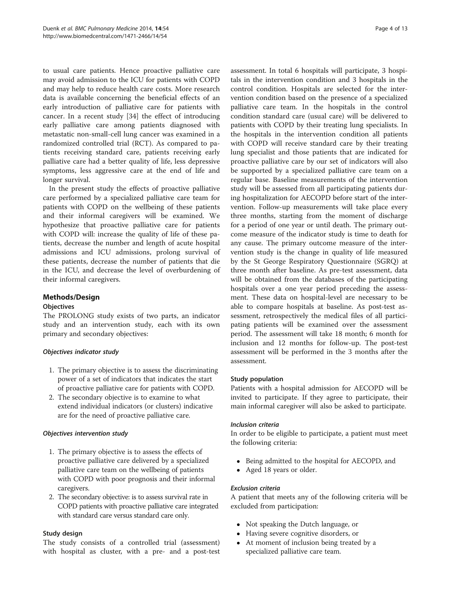to usual care patients. Hence proactive palliative care may avoid admission to the ICU for patients with COPD and may help to reduce health care costs. More research data is available concerning the beneficial effects of an early introduction of palliative care for patients with cancer. In a recent study [\[34](#page-11-0)] the effect of introducing early palliative care among patients diagnosed with metastatic non-small-cell lung cancer was examined in a randomized controlled trial (RCT). As compared to patients receiving standard care, patients receiving early palliative care had a better quality of life, less depressive symptoms, less aggressive care at the end of life and longer survival.

In the present study the effects of proactive palliative care performed by a specialized palliative care team for patients with COPD on the wellbeing of these patients and their informal caregivers will be examined. We hypothesize that proactive palliative care for patients with COPD will: increase the quality of life of these patients, decrease the number and length of acute hospital admissions and ICU admissions, prolong survival of these patients, decrease the number of patients that die in the ICU, and decrease the level of overburdening of their informal caregivers.

# Methods/Design

# **Objectives**

The PROLONG study exists of two parts, an indicator study and an intervention study, each with its own primary and secondary objectives:

# Objectives indicator study

- 1. The primary objective is to assess the discriminating power of a set of indicators that indicates the start of proactive palliative care for patients with COPD.
- 2. The secondary objective is to examine to what extend individual indicators (or clusters) indicative are for the need of proactive palliative care.

# Objectives intervention study

- 1. The primary objective is to assess the effects of proactive palliative care delivered by a specialized palliative care team on the wellbeing of patients with COPD with poor prognosis and their informal caregivers.
- 2. The secondary objective: is to assess survival rate in COPD patients with proactive palliative care integrated with standard care versus standard care only.

# Study design

The study consists of a controlled trial (assessment) with hospital as cluster, with a pre- and a post-test

assessment. In total 6 hospitals will participate, 3 hospitals in the intervention condition and 3 hospitals in the control condition. Hospitals are selected for the intervention condition based on the presence of a specialized palliative care team. In the hospitals in the control condition standard care (usual care) will be delivered to patients with COPD by their treating lung specialists. In the hospitals in the intervention condition all patients with COPD will receive standard care by their treating lung specialist and those patients that are indicated for proactive palliative care by our set of indicators will also be supported by a specialized palliative care team on a regular base. Baseline measurements of the intervention study will be assessed from all participating patients during hospitalization for AECOPD before start of the intervention. Follow-up measurements will take place every three months, starting from the moment of discharge for a period of one year or until death. The primary outcome measure of the indicator study is time to death for any cause. The primary outcome measure of the intervention study is the change in quality of life measured by the St George Respiratory Questionnaire (SGRQ) at three month after baseline. As pre-test assessment, data will be obtained from the databases of the participating hospitals over a one year period preceding the assessment. These data on hospital-level are necessary to be able to compare hospitals at baseline. As post-test assessment, retrospectively the medical files of all participating patients will be examined over the assessment period. The assessment will take 18 month; 6 month for inclusion and 12 months for follow-up. The post-test assessment will be performed in the 3 months after the assessment.

# Study population

Patients with a hospital admission for AECOPD will be invited to participate. If they agree to participate, their main informal caregiver will also be asked to participate.

# Inclusion criteria

In order to be eligible to participate, a patient must meet the following criteria:

- Being admitted to the hospital for AECOPD, and
- Aged 18 years or older.

# Exclusion criteria

A patient that meets any of the following criteria will be excluded from participation:

- Not speaking the Dutch language, or
- Having severe cognitive disorders, or
- At moment of inclusion being treated by a specialized palliative care team.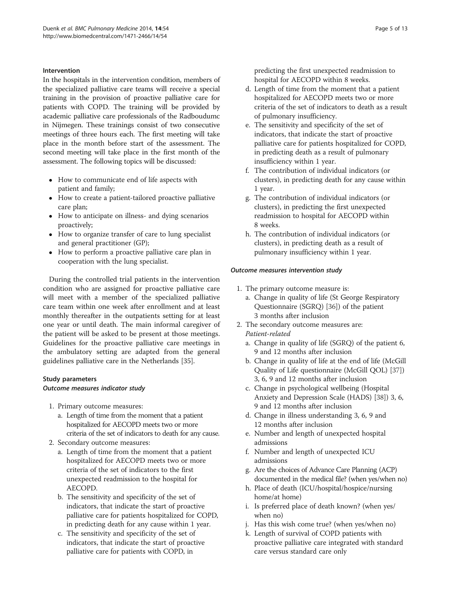# Intervention

In the hospitals in the intervention condition, members of the specialized palliative care teams will receive a special training in the provision of proactive palliative care for patients with COPD. The training will be provided by academic palliative care professionals of the Radboudumc in Nijmegen. These trainings consist of two consecutive meetings of three hours each. The first meeting will take place in the month before start of the assessment. The second meeting will take place in the first month of the assessment. The following topics will be discussed:

- How to communicate end of life aspects with patient and family;
- How to create a patient-tailored proactive palliative care plan;
- How to anticipate on illness- and dying scenarios proactively;
- How to organize transfer of care to lung specialist and general practitioner (GP);
- How to perform a proactive palliative care plan in cooperation with the lung specialist.

During the controlled trial patients in the intervention condition who are assigned for proactive palliative care will meet with a member of the specialized palliative care team within one week after enrollment and at least monthly thereafter in the outpatients setting for at least one year or until death. The main informal caregiver of the patient will be asked to be present at those meetings. Guidelines for the proactive palliative care meetings in the ambulatory setting are adapted from the general guidelines palliative care in the Netherlands [\[35](#page-12-0)].

# Study parameters

# Outcome measures indicator study

- 1. Primary outcome measures:
	- a. Length of time from the moment that a patient hospitalized for AECOPD meets two or more criteria of the set of indicators to death for any cause.
- 2. Secondary outcome measures:
	- a. Length of time from the moment that a patient hospitalized for AECOPD meets two or more criteria of the set of indicators to the first unexpected readmission to the hospital for AECOPD.
	- b. The sensitivity and specificity of the set of indicators, that indicate the start of proactive palliative care for patients hospitalized for COPD, in predicting death for any cause within 1 year.
	- c. The sensitivity and specificity of the set of indicators, that indicate the start of proactive palliative care for patients with COPD, in

predicting the first unexpected readmission to hospital for AECOPD within 8 weeks.

- d. Length of time from the moment that a patient hospitalized for AECOPD meets two or more criteria of the set of indicators to death as a result of pulmonary insufficiency.
- e. The sensitivity and specificity of the set of indicators, that indicate the start of proactive palliative care for patients hospitalized for COPD, in predicting death as a result of pulmonary insufficiency within 1 year.
- f. The contribution of individual indicators (or clusters), in predicting death for any cause within 1 year.
- g. The contribution of individual indicators (or clusters), in predicting the first unexpected readmission to hospital for AECOPD within 8 weeks.
- h. The contribution of individual indicators (or clusters), in predicting death as a result of pulmonary insufficiency within 1 year.

# Outcome measures intervention study

- 1. The primary outcome measure is:
	- a. Change in quality of life (St George Respiratory Questionnaire (SGRQ) [[36](#page-12-0)]) of the patient 3 months after inclusion
- 2. The secondary outcome measures are: Patient-related
	- a. Change in quality of life (SGRQ) of the patient 6, 9 and 12 months after inclusion
	- b. Change in quality of life at the end of life (McGill Quality of Life questionnaire (McGill QOL) [\[37\]](#page-12-0)) 3, 6, 9 and 12 months after inclusion
	- c. Change in psychological wellbeing (Hospital Anxiety and Depression Scale (HADS) [\[38](#page-12-0)]) 3, 6, 9 and 12 months after inclusion
	- d. Change in illness understanding 3, 6, 9 and 12 months after inclusion
	- e. Number and length of unexpected hospital admissions
	- f. Number and length of unexpected ICU admissions
	- g. Are the choices of Advance Care Planning (ACP) documented in the medical file? (when yes/when no)
	- h. Place of death (ICU/hospital/hospice/nursing home/at home)
	- i. Is preferred place of death known? (when yes/ when no)
	- j. Has this wish come true? (when yes/when no)
	- k. Length of survival of COPD patients with proactive palliative care integrated with standard care versus standard care only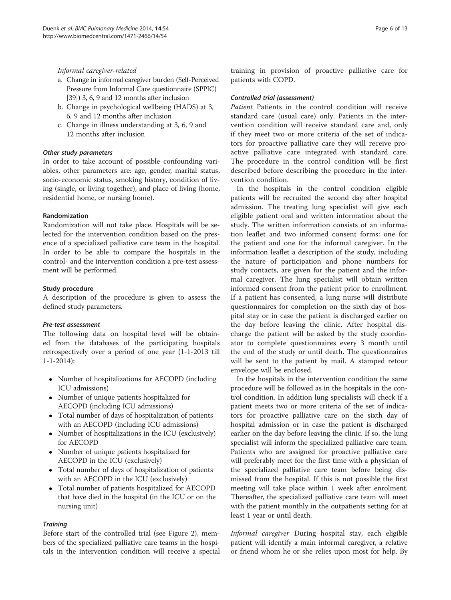- a. Change in informal caregiver burden (Self-Perceived Pressure from Informal Care questionnaire (SPPIC) [\[39](#page-12-0)]) 3, 6, 9 and 12 months after inclusion
- b. Change in psychological wellbeing (HADS) at 3, 6, 9 and 12 months after inclusion
- c. Change in illness understanding at 3, 6, 9 and 12 months after inclusion

#### Other study parameters

In order to take account of possible confounding variables, other parameters are: age, gender, marital status, socio-economic status, smoking history, condition of living (single, or living together), and place of living (home, residential home, or nursing home).

#### Randomization

Randomization will not take place. Hospitals will be selected for the intervention condition based on the presence of a specialized palliative care team in the hospital. In order to be able to compare the hospitals in the control- and the intervention condition a pre-test assessment will be performed.

#### Study procedure

A description of the procedure is given to assess the defined study parameters.

#### Pre-test assessment

The following data on hospital level will be obtained from the databases of the participating hospitals retrospectively over a period of one year (1-1-2013 till 1-1-2014):

- Number of hospitalizations for AECOPD (including ICU admissions)
- Number of unique patients hospitalized for AECOPD (including ICU admissions)
- Total number of days of hospitalization of patients with an AECOPD (including ICU admissions)
- Number of hospitalizations in the ICU (exclusively) for AECOPD
- Number of unique patients hospitalized for AECOPD in the ICU (exclusively)
- Total number of days of hospitalization of patients with an AECOPD in the ICU (exclusively)
- Total number of patients hospitalized for AECOPD that have died in the hospital (in the ICU or on the nursing unit)

# **Training**

Before start of the controlled trial (see Figure [2](#page-6-0)), members of the specialized palliative care teams in the hospitals in the intervention condition will receive a special training in provision of proactive palliative care for patients with COPD.

#### Controlled trial (assessment)

Patient Patients in the control condition will receive standard care (usual care) only. Patients in the intervention condition will receive standard care and, only if they meet two or more criteria of the set of indicators for proactive palliative care they will receive proactive palliative care integrated with standard care. The procedure in the control condition will be first described before describing the procedure in the intervention condition.

In the hospitals in the control condition eligible patients will be recruited the second day after hospital admission. The treating lung specialist will give each eligible patient oral and written information about the study. The written information consists of an information leaflet and two informed consent forms: one for the patient and one for the informal caregiver. In the information leaflet a description of the study, including the nature of participation and phone numbers for study contacts, are given for the patient and the informal caregiver. The lung specialist will obtain written informed consent from the patient prior to enrollment. If a patient has consented, a lung nurse will distribute questionnaires for completion on the sixth day of hospital stay or in case the patient is discharged earlier on the day before leaving the clinic. After hospital discharge the patient will be asked by the study coordinator to complete questionnaires every 3 month until the end of the study or until death. The questionnaires will be sent to the patient by mail. A stamped retour envelope will be enclosed.

In the hospitals in the intervention condition the same procedure will be followed as in the hospitals in the control condition. In addition lung specialists will check if a patient meets two or more criteria of the set of indicators for proactive palliative care on the sixth day of hospital admission or in case the patient is discharged earlier on the day before leaving the clinic. If so, the lung specialist will inform the specialized palliative care team. Patients who are assigned for proactive palliative care will preferably meet for the first time with a physician of the specialized palliative care team before being dismissed from the hospital. If this is not possible the first meeting will take place within 1 week after enrolment. Thereafter, the specialized palliative care team will meet with the patient monthly in the outpatients setting for at least 1 year or until death.

Informal caregiver During hospital stay, each eligible patient will identify a main informal caregiver, a relative or friend whom he or she relies upon most for help. By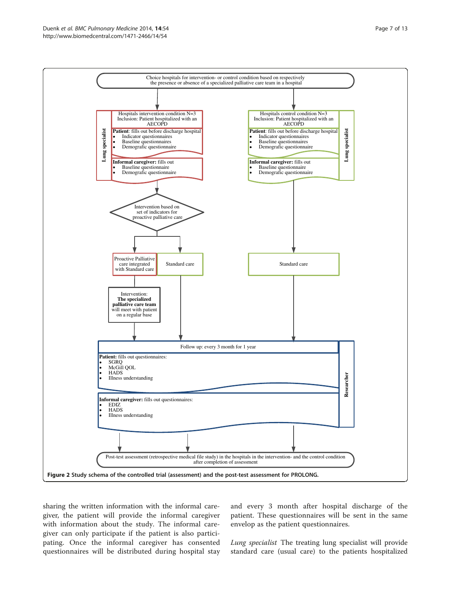<span id="page-6-0"></span>

sharing the written information with the informal caregiver, the patient will provide the informal caregiver with information about the study. The informal caregiver can only participate if the patient is also participating. Once the informal caregiver has consented questionnaires will be distributed during hospital stay and every 3 month after hospital discharge of the patient. These questionnaires will be sent in the same envelop as the patient questionnaires.

Lung specialist The treating lung specialist will provide standard care (usual care) to the patients hospitalized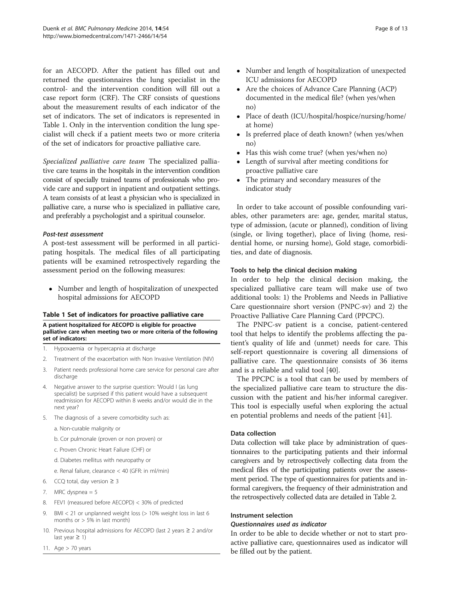for an AECOPD. After the patient has filled out and returned the questionnaires the lung specialist in the control- and the intervention condition will fill out a case report form (CRF). The CRF consists of questions about the measurement results of each indicator of the set of indicators. The set of indicators is represented in Table 1. Only in the intervention condition the lung specialist will check if a patient meets two or more criteria of the set of indicators for proactive palliative care.

Specialized palliative care team The specialized palliative care teams in the hospitals in the intervention condition consist of specially trained teams of professionals who provide care and support in inpatient and outpatient settings. A team consists of at least a physician who is specialized in palliative care, a nurse who is specialized in palliative care, and preferably a psychologist and a spiritual counselor.

#### Post-test assessment

A post-test assessment will be performed in all participating hospitals. The medical files of all participating patients will be examined retrospectively regarding the assessment period on the following measures:

 Number and length of hospitalization of unexpected hospital admissions for AECOPD

#### Table 1 Set of indicators for proactive palliative care

A patient hospitalized for AECOPD is eligible for proactive palliative care when meeting two or more criteria of the following set of indicators:

- 1. Hypoxaemia or hypercapnia at discharge
- 2. Treatment of the exacerbation with Non Invasive Ventilation (NIV)
- 3. Patient needs professional home care service for personal care after discharge
- 4. Negative answer to the surprise question: 'Would I (as lung specialist) be surprised if this patient would have a subsequent readmission for AECOPD within 8 weeks and/or would die in the next year?
- 5. The diagnosis of a severe comorbidity such as:
	- a. Non-curable malignity or
	- b. Cor pulmonale (proven or non proven) or
	- c. Proven Chronic Heart Failure (CHF) or
	- d. Diabetes mellitus with neuropathy or
	- e. Renal failure, clearance < 40 (GFR: in ml/min)
- 6. CCQ total, day version  $\geq$  3
- 7. MRC dyspnea = 5
- 8. FEV1 (measured before AECOPD) < 30% of predicted
- 9. BMI < 21 or unplanned weight loss (> 10% weight loss in last 6 months or  $> 5\%$  in last month)
- 10. Previous hospital admissions for AECOPD (last 2 years ≥ 2 and/or last year ≥ 1)
- 11. Age > 70 years
- Number and length of hospitalization of unexpected ICU admissions for AECOPD
- Are the choices of Advance Care Planning (ACP) documented in the medical file? (when yes/when no)
- Place of death (ICU/hospital/hospice/nursing/home/ at home)
- Is preferred place of death known? (when yes/when no)
- Has this wish come true? (when yes/when no)
- Length of survival after meeting conditions for proactive palliative care
- The primary and secondary measures of the indicator study

In order to take account of possible confounding variables, other parameters are: age, gender, marital status, type of admission, (acute or planned), condition of living (single, or living together), place of living (home, residential home, or nursing home), Gold stage, comorbidities, and date of diagnosis.

# Tools to help the clinical decision making

In order to help the clinical decision making, the specialized palliative care team will make use of two additional tools: 1) the Problems and Needs in Palliative Care questionnaire short version (PNPC-sv) and 2) the Proactive Palliative Care Planning Card (PPCPC).

The PNPC-sv patient is a concise, patient-centered tool that helps to identify the problems affecting the patient's quality of life and (unmet) needs for care. This self-report questionnaire is covering all dimensions of palliative care. The questionnaire consists of 36 items and is a reliable and valid tool [\[40\]](#page-12-0).

The PPCPC is a tool that can be used by members of the specialized palliative care team to structure the discussion with the patient and his/her informal caregiver. This tool is especially useful when exploring the actual en potential problems and needs of the patient [[41\]](#page-12-0).

# Data collection

Data collection will take place by administration of questionnaires to the participating patients and their informal caregivers and by retrospectively collecting data from the medical files of the participating patients over the assessment period. The type of questionnaires for patients and informal caregivers, the frequency of their administration and the retrospectively collected data are detailed in Table [2.](#page-8-0)

#### Instrument selection

#### Questionnaires used as indicator

In order to be able to decide whether or not to start proactive palliative care, questionnaires used as indicator will be filled out by the patient.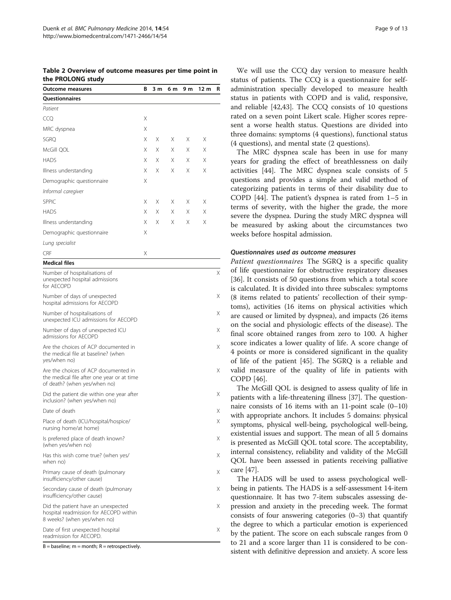<span id="page-8-0"></span>Table 2 Overview of outcome measures per time point in the PROLONG study

| ule Procond Study<br><b>Outcome measures</b>                                                                       | в | 3 m | 6 m | 9 m | 12 m | R |
|--------------------------------------------------------------------------------------------------------------------|---|-----|-----|-----|------|---|
| Questionnaires                                                                                                     |   |     |     |     |      |   |
| Patient                                                                                                            |   |     |     |     |      |   |
| CCQ                                                                                                                | Χ |     |     |     |      |   |
| MRC dyspnea                                                                                                        | Χ |     |     |     |      |   |
| SGRQ                                                                                                               | Χ | Χ   | Χ   | Χ   | X    |   |
| McGill QOL                                                                                                         | Χ | Χ   | Χ   | Χ   | Χ    |   |
| <b>HADS</b>                                                                                                        | Χ | Χ   | Χ   | Χ   | Χ    |   |
| Illness understanding                                                                                              | Χ | Χ   | X   | X   | X    |   |
| Demographic questionnaire                                                                                          | Χ |     |     |     |      |   |
| Informal caregiver                                                                                                 |   |     |     |     |      |   |
| <b>SPPIC</b>                                                                                                       | Χ | Χ   | Χ   | Χ   | Χ    |   |
| <b>HADS</b>                                                                                                        | Χ | Χ   | Χ   | Χ   | Χ    |   |
| Illness understanding                                                                                              | Χ | Χ   | Χ   | Χ   | X    |   |
| Demographic questionnaire                                                                                          | Χ |     |     |     |      |   |
| Lung specialist                                                                                                    |   |     |     |     |      |   |
| CRF                                                                                                                | Χ |     |     |     |      |   |
| <b>Medical files</b>                                                                                               |   |     |     |     |      |   |
| Number of hospitalisations of<br>unexpected hospital admissions<br>for AECOPD                                      |   |     |     |     |      | X |
| Number of days of unexpected<br>hospital admissions for AECOPD                                                     |   |     |     |     |      | Χ |
| Number of hospitalisations of<br>unexpected ICU admissions for AECOPD                                              |   |     |     |     |      | Χ |
| Number of days of unexpected ICU<br>admissions for AECOPD                                                          |   |     |     |     |      | Χ |
| Are the choices of ACP documented in<br>the medical file at baseline? (when<br>yes/when no)                        |   |     |     |     |      | Χ |
| Are the choices of ACP documented in<br>the medical file after one year or at time<br>of death? (when yes/when no) |   |     |     |     |      | Χ |
| Did the patient die within one year after<br>inclusion? (when yes/when no)                                         |   |     |     |     |      | Χ |
| Date of death                                                                                                      |   |     |     |     |      | Χ |
| Place of death (ICU/hospital/hospice/<br>nursing home/at home)                                                     |   |     |     |     |      | Χ |
| Is preferred place of death known?<br>(when yes/when no)                                                           |   |     |     |     |      | Χ |
| Has this wish come true? (when yes/<br>when no)                                                                    |   |     |     |     |      | Χ |
| Primary cause of death (pulmonary<br>insufficiency/other cause)                                                    |   |     |     |     |      | Χ |
| Secondary cause of death (pulmonary<br>insufficiency/other cause)                                                  |   |     |     |     |      | Χ |
| Did the patient have an unexpected<br>hospital readmission for AECOPD within<br>8 weeks? (when yes/when no)        |   |     |     |     |      | Χ |
| Date of first unexpected hospital<br>readmission for AECOPD.                                                       |   |     |     |     |      | Χ |
| $B =$ baseline; m = month; R = retrospectively.                                                                    |   |     |     |     |      |   |

We will use the CCQ day version to measure health status of patients. The CCQ is a questionnaire for selfadministration specially developed to measure health status in patients with COPD and is valid, responsive, and reliable [[42,43\]](#page-12-0). The CCQ consists of 10 questions rated on a seven point Likert scale. Higher scores represent a worse health status. Questions are divided into three domains: symptoms (4 questions), functional status (4 questions), and mental state (2 questions).

The MRC dyspnea scale has been in use for many years for grading the effect of breathlessness on daily activities [[44\]](#page-12-0). The MRC dyspnea scale consists of 5 questions and provides a simple and valid method of categorizing patients in terms of their disability due to COPD [[44\]](#page-12-0). The patient's dyspnea is rated from 1–5 in terms of severity, with the higher the grade, the more severe the dyspnea. During the study MRC dyspnea will be measured by asking about the circumstances two weeks before hospital admission.

#### Questionnaires used as outcome measures

Patient questionnaires The SGRQ is a specific quality of life questionnaire for obstructive respiratory diseases [[36\]](#page-12-0). It consists of 50 questions from which a total score is calculated. It is divided into three subscales: symptoms (8 items related to patients' recollection of their symptoms), activities (16 items on physical activities which are caused or limited by dyspnea), and impacts (26 items on the social and physiologic effects of the disease). The final score obtained ranges from zero to 100. A higher score indicates a lower quality of life. A score change of 4 points or more is considered significant in the quality of life of the patient [\[45](#page-12-0)]. The SGRQ is a reliable and valid measure of the quality of life in patients with COPD [[46\]](#page-12-0).

The McGill QOL is designed to assess quality of life in patients with a life-threatening illness [\[37](#page-12-0)]. The questionnaire consists of 16 items with an 11-point scale (0–10) with appropriate anchors. It includes 5 domains: physical symptoms, physical well-being, psychological well-being, existential issues and support. The mean of all 5 domains is presented as McGill QOL total score. The acceptability, internal consistency, reliability and validity of the McGill QOL have been assessed in patients receiving palliative care [\[47\]](#page-12-0).

The HADS will be used to assess psychological wellbeing in patients. The HADS is a self-assessment 14-item questionnaire. It has two 7-item subscales assessing depression and anxiety in the preceding week. The format consists of four answering categories  $(0-3)$  that quantify the degree to which a particular emotion is experienced by the patient. The score on each subscale ranges from 0 to 21 and a score larger than 11 is considered to be consistent with definitive depression and anxiety. A score less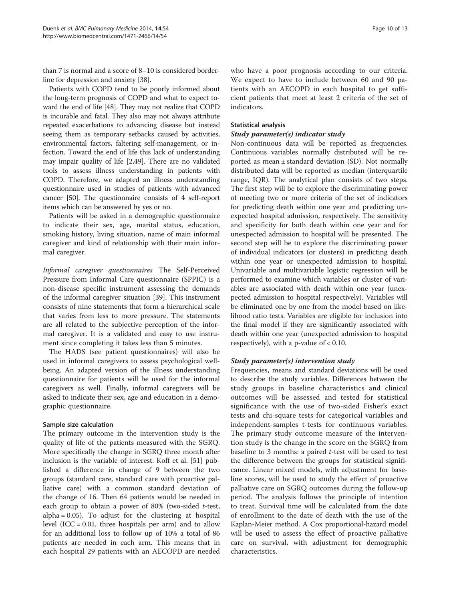than 7 is normal and a score of 8–10 is considered borderline for depression and anxiety [[38\]](#page-12-0).

Patients with COPD tend to be poorly informed about the long-term prognosis of COPD and what to expect toward the end of life [[48](#page-12-0)]. They may not realize that COPD is incurable and fatal. They also may not always attribute repeated exacerbations to advancing disease but instead seeing them as temporary setbacks caused by activities, environmental factors, faltering self-management, or infection. Toward the end of life this lack of understanding may impair quality of life [\[2](#page-11-0)[,49\]](#page-12-0). There are no validated tools to assess illness understanding in patients with COPD. Therefore, we adapted an illness understanding questionnaire used in studies of patients with advanced cancer [[50](#page-12-0)]. The questionnaire consists of 4 self-report items which can be answered by yes or no.

Patients will be asked in a demographic questionnaire to indicate their sex, age, marital status, education, smoking history, living situation, name of main informal caregiver and kind of relationship with their main informal caregiver.

Informal caregiver questionnaires The Self-Perceived Pressure from Informal Care questionnaire (SPPIC) is a non-disease specific instrument assessing the demands of the informal caregiver situation [\[39](#page-12-0)]. This instrument consists of nine statements that form a hierarchical scale that varies from less to more pressure. The statements are all related to the subjective perception of the informal caregiver. It is a validated and easy to use instrument since completing it takes less than 5 minutes.

The HADS (see patient questionnaires) will also be used in informal caregivers to assess psychological wellbeing. An adapted version of the illness understanding questionnaire for patients will be used for the informal caregivers as well. Finally, informal caregivers will be asked to indicate their sex, age and education in a demographic questionnaire.

# Sample size calculation

The primary outcome in the intervention study is the quality of life of the patients measured with the SGRQ. More specifically the change in SGRQ three month after inclusion is the variable of interest. Koff et al. [[51\]](#page-12-0) published a difference in change of 9 between the two groups (standard care, standard care with proactive palliative care) with a common standard deviation of the change of 16. Then 64 patients would be needed in each group to obtain a power of 80% (two-sided  $t$ -test, alpha =  $0.05$ ). To adjust for the clustering at hospital level  $(ICC = 0.01, three hospitals per arm)$  and to allow for an additional loss to follow up of 10% a total of 86 patients are needed in each arm. This means that in each hospital 29 patients with an AECOPD are needed

who have a poor prognosis according to our criteria. We expect to have to include between 60 and 90 patients with an AECOPD in each hospital to get sufficient patients that meet at least 2 criteria of the set of indicators.

# Statistical analysis

# Study parameter(s) indicator study

Non-continuous data will be reported as frequencies. Continuous variables normally distributed will be reported as mean ± standard deviation (SD). Not normally distributed data will be reported as median (interquartile range, IQR). The analytical plan consists of two steps. The first step will be to explore the discriminating power of meeting two or more criteria of the set of indicators for predicting death within one year and predicting unexpected hospital admission, respectively. The sensitivity and specificity for both death within one year and for unexpected admission to hospital will be presented. The second step will be to explore the discriminating power of individual indicators (or clusters) in predicting death within one year or unexpected admission to hospital. Univariable and multivariable logistic regression will be performed to examine which variables or cluster of variables are associated with death within one year (unexpected admission to hospital respectively). Variables will be eliminated one by one from the model based on likelihood ratio tests. Variables are eligible for inclusion into the final model if they are significantly associated with death within one year (unexpected admission to hospital respectively), with a p-value of  $< 0.10$ .

# Study parameter(s) intervention study

Frequencies, means and standard deviations will be used to describe the study variables. Differences between the study groups in baseline characteristics and clinical outcomes will be assessed and tested for statistical significance with the use of two-sided Fisher's exact tests and chi-square tests for categorical variables and independent-samples t-tests for continuous variables. The primary study outcome measure of the intervention study is the change in the score on the SGRQ from baseline to 3 months: a paired *t*-test will be used to test the difference between the groups for statistical significance. Linear mixed models, with adjustment for baseline scores, will be used to study the effect of proactive palliative care on SGRQ outcomes during the follow-up period. The analysis follows the principle of intention to treat. Survival time will be calculated from the date of enrollment to the date of death with the use of the Kaplan-Meier method. A Cox proportional-hazard model will be used to assess the effect of proactive palliative care on survival, with adjustment for demographic characteristics.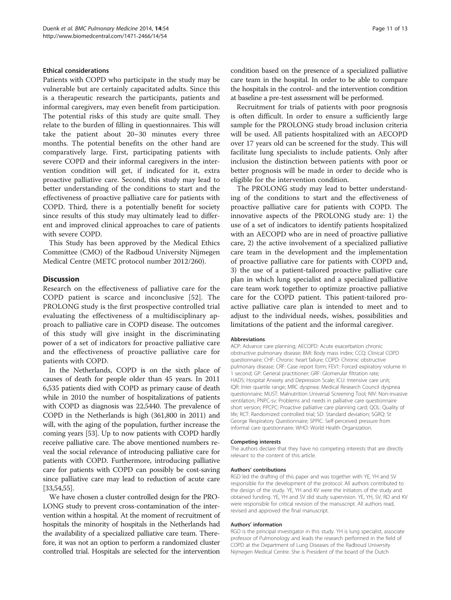#### Ethical considerations

Patients with COPD who participate in the study may be vulnerable but are certainly capacitated adults. Since this is a therapeutic research the participants, patients and informal caregivers, may even benefit from participation. The potential risks of this study are quite small. They relate to the burden of filling in questionnaires. This will take the patient about 20–30 minutes every three months. The potential benefits on the other hand are comparatively large. First, participating patients with severe COPD and their informal caregivers in the intervention condition will get, if indicated for it, extra proactive palliative care. Second, this study may lead to better understanding of the conditions to start and the effectiveness of proactive palliative care for patients with COPD. Third, there is a potentially benefit for society since results of this study may ultimately lead to different and improved clinical approaches to care of patients with severe COPD.

This Study has been approved by the Medical Ethics Committee (CMO) of the Radboud University Nijmegen Medical Centre (METC protocol number 2012/260).

#### **Discussion**

Research on the effectiveness of palliative care for the COPD patient is scarce and inconclusive [[52](#page-12-0)]. The PROLONG study is the first prospective controlled trial evaluating the effectiveness of a multidisciplinary approach to palliative care in COPD disease. The outcomes of this study will give insight in the discriminating power of a set of indicators for proactive palliative care and the effectiveness of proactive palliative care for patients with COPD.

In the Netherlands, COPD is on the sixth place of causes of death for people older than 45 years. In 2011 6,535 patients died with COPD as primary cause of death while in 2010 the number of hospitalizations of patients with COPD as diagnosis was 22,5440. The prevalence of COPD in the Netherlands is high (361,800 in 2011) and will, with the aging of the population, further increase the coming years [\[53\]](#page-12-0). Up to now patients with COPD hardly receive palliative care. The above mentioned numbers reveal the social relevance of introducing palliative care for patients with COPD. Furthermore, introducing palliative care for patients with COPD can possibly be cost-saving since palliative care may lead to reduction of acute care [[33](#page-11-0)[,54,55\]](#page-12-0).

We have chosen a cluster controlled design for the PRO-LONG study to prevent cross-contamination of the intervention within a hospital. At the moment of recruitment of hospitals the minority of hospitals in the Netherlands had the availability of a specialized palliative care team. Therefore, it was not an option to perform a randomized cluster controlled trial. Hospitals are selected for the intervention

condition based on the presence of a specialized palliative care team in the hospital. In order to be able to compare the hospitals in the control- and the intervention condition at baseline a pre-test assessment will be performed.

Recruitment for trials of patients with poor prognosis is often difficult. In order to ensure a sufficiently large sample for the PROLONG study broad inclusion criteria will be used. All patients hospitalized with an AECOPD over 17 years old can be screened for the study. This will facilitate lung specialists to include patients. Only after inclusion the distinction between patients with poor or better prognosis will be made in order to decide who is eligible for the intervention condition.

The PROLONG study may lead to better understanding of the conditions to start and the effectiveness of proactive palliative care for patients with COPD. The innovative aspects of the PROLONG study are: 1) the use of a set of indicators to identify patients hospitalized with an AECOPD who are in need of proactive palliative care, 2) the active involvement of a specialized palliative care team in the development and the implementation of proactive palliative care for patients with COPD and, 3) the use of a patient-tailored proactive palliative care plan in which lung specialist and a specialized palliative care team work together to optimize proactive palliative care for the COPD patient. This patient-tailored proactive palliative care plan is intended to meet and to adjust to the individual needs, wishes, possibilities and limitations of the patient and the informal caregiver.

#### Abbreviations

ACP: Advance care planning; AECOPD: Acute exacerbation chronic obstructive pulmonary disease; BMI: Body mass index; CCQ: Clinical COPD questionnaire; CHF: Chronic heart failure; COPD: Chronic obstructive pulmonary disease; CRF: Case report form; FEV1: Forced expiratory volume in 1 second; GP: General practitioner; GRF: Glomerular filtration rate; HADS: Hospital Anxiety and Depression Scale; ICU: Intensive care unit; IQR: Inter quartile range; MRC dyspnea: Medical Research Council dyspnea questionnaire; MUST: Malnutrition Universal Screening Tool; NIV: Non-invasive ventilation; PNPC-sv: Problems and needs in palliative care questionnaire short version; PPCPC: Proactive palliative care planning card; QOL: Quality of life; RCT: Randomized controlled trial; SD: Standard deviation; SGRQ: St George Respiratory Questionnaire; SPPIC: Self-perceived pressure from informal care questionnaire; WHO: World Health Organization.

#### Competing interests

The authors declare that they have no competing interests that are directly relevant to the content of this article.

#### Authors' contributions

RGD led the drafting of this paper and was together with YE, YH and SV responsible for the development of the protocol. All authors contributed to the design of the study. YE, YH and KV were the initiators of the study and obtained funding. YE, YH and SV did study supervision. YE, YH, SV, RD and KV were responsible for critical revision of the manuscript. All authors read, revised and approved the final manuscript.

#### Authors' information

RGD is the principal investigator in this study. YH is lung specialist, associate professor of Pulmonology and leads the research performed in the field of COPD at the Department of Lung Diseases of the Radboud University Nijmegen Medical Centre. She is President of the board of the Dutch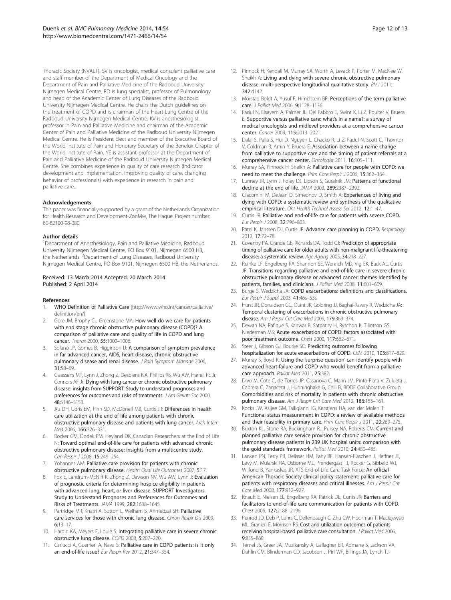<span id="page-11-0"></span>Thoracic Society (NVALT). SV is oncologist, medical consulent palliative care and staff member of the Department of Medical Oncology and the Department of Pain and Palliative Medicine of the Radboud University Nijmegen Medical Centre. RD is lung specialist, professor of Pulmonology and head of the Academic Center of Lung Diseases of the Radboud University Nijmegen Medical Centre. He chairs the Dutch guidelines on the treatment of COPD and is chairman of the Heart-Lung Centre of the Radboud University Nijmegen Medical Centre. KV is anesthesiologist, professor in Pain and Palliative Medicine and chairman of the Academic Center of Pain and Palliative Medicine of the Radboud University Nijmegen Medical Centre. He is President Elect and member of the Executive Board of the World Institute of Pain and Honorary Secretary of the Benelux Chapter of the World Institute of Pain. YE is assistant professor at the Department of Pain and Palliative Medicine of the Radboud University Nijmegen Medical Centre. She combines experience in quality of care research (indicator development and implementation, improving quality of care, changing behavior of professionals) with experience in research in pain and palliative care.

#### Acknowledgements

This paper was financially supported by a grant of the Netherlands Organization for Health Research and Development-ZonMw, The Hague. Project number: 80-82100-98-080.

#### Author details

<sup>1</sup>Department of Anesthesiology, Pain and Palliative Medicine, Radboud University Nijmegen Medical Centre, PO Box 9101, Nijmegen 6500 HB, the Netherlands. <sup>2</sup>Department of Lung Diseases, Radboud University Nijmegen Medical Centre, PO Box 9101, Nijmegen 6500 HB, the Netherlands.

#### Received: 13 March 2014 Accepted: 20 March 2014 Published: 2 April 2014

#### References

- 1. WHO Definition of Palliative Care [[http://www.who.int/cancer/palliative/](http://www.who.int/cancer/palliative/definition/en/) [definition/en/\]](http://www.who.int/cancer/palliative/definition/en/)
- 2. Gore JM, Brophy CJ, Greenstone MA: How well do we care for patients with end stage chronic obstructive pulmonary disease (COPD)? A comparison of palliative care and quality of life in COPD and lung cancer. Thorax 2000, 55:1000–1006.
- Solano JP, Gomes B, Higginson IJ: A comparison of symptom prevalence in far advanced cancer, AIDS, heart disease, chronic obstructive pulmonary disease and renal disease. J Pain Symptom Manage 2006, 31:58–69.
- 4. Claessens MT, Lynn J, Zhong Z, Desbiens NA, Phillips RS, Wu AW, Harrell FE Jr, Connors AF Jr: Dying with lung cancer or chronic obstructive pulmonary disease: insights from SUPPORT. Study to understand prognoses and preferences for outcomes and risks of treatments. J Am Geriatr Soc 2000, 48:S146–S153.
- 5. Au DH, Udris EM, Fihn SD, McDonell MB, Curtis JR: Differences in health care utilization at the end of life among patients with chronic obstructive pulmonary disease and patients with lung cancer. Arch Intern Med 2006, 166:326–331.
- Rocker GM, Dodek PM, Heyland DK, Canadian Researchers at the End of Life N: Toward optimal end-of-life care for patients with advanced chronic obstructive pulmonary disease: insights from a multicentre study. Can Respir J 2008, 15:249–254.
- 7. Yohannes AM: Palliative care provision for patients with chronic obstructive pulmonary disease. Health Qual Life Outcomes 2007, 5:17.
- 8. Fox E, Landrum-McNiff K, Zhong Z, Dawson NV, Wu AW, Lynn J: Evaluation of prognostic criteria for determining hospice eligibility in patients with advanced lung, heart, or liver disease. SUPPORT Investigators. Study to Understand Prognoses and Preferences for Outcomes and Risks of Treatments. JAMA 1999, 282:1638–1645.
- 9. Partridge MR, Khatri A, Sutton L, Welham S, Ahmedzai SH: Palliative care services for those with chronic lung disease. Chron Respir Dis 2009, 6:13–17.
- 10. Hardin KA, Meyers F, Louie S: Integrating palliative care in severe chronic obstructive lung disease. COPD 2008, 5:207–220.
- 11. Carlucci A, Guerrieri A, Nava S: Palliative care in COPD patients: is it only an end-of-life issue? Eur Respir Rev 2012, 21:347–354.
- 12. Pinnock H, Kendall M, Murray SA, Worth A, Levack P, Porter M, MacNee W, Sheikh A: Living and dying with severe chronic obstructive pulmonary disease: multi-perspective longitudinal qualitative study. BMJ 2011, 342:d142.
- 13. Morstad Boldt A, Yusuf F, Himelstein BP: Perceptions of the term palliative care. J Palliat Med 2006, 9:1128-1136.
- 14. Fadul N, Elsayem A, Palmer JL, Del Fabbro E, Swint K, Li Z, Poulter V, Bruera E: Supportive versus palliative care: what's in a name?: a survey of medical oncologists and midlevel providers at a comprehensive cancer center. Cancer 2009, 115:2013–2021.
- 15. Dalal S, Palla S, Hui D, Nguyen L, Chacko R, Li Z, Fadul N, Scott C, Thornton V, Coldman B, Amin Y, Bruera E: Association between a name change from palliative to supportive care and the timing of patient referrals at a comprehensive cancer center. Oncologist 2011, 16:105–111.
- 16. Murray SA, Pinnock H, Sheikh A: Palliative care for people with COPD: we need to meet the challenge. Prim Care Respir J 2006, 15:362–364.
- 17. Lunney JR, Lynn J, Foley DJ, Lipson S, Guralnik JM: Patterns of functional decline at the end of life. JAMA 2003, 289:2387–2392.
- 18. Giacomini M, DeJean D, Simeonov D, Smith A: Experiences of living and dying with COPD: a systematic review and synthesis of the qualitative empirical literature. Ont Health Technol Assess Ser 2012, 12:1-47
- 19. Curtis JR: Palliative and end-of-life care for patients with severe COPD. Eur Respir J 2008, 32:796–803.
- 20. Patel K, Janssen DJ, Curtis JR: Advance care planning in COPD. Respirology 2012, 17:72–78.
- 21. Coventry PA, Grande GE, Richards DA, Todd CJ: Prediction of appropriate timing of palliative care for older adults with non-malignant life-threatening disease: a systematic review. Age Ageing 2005, 34:218–227.
- 22. Reinke LF, Engelberg RA, Shannon SE, Wenrich MD, Vig EK, Back AL, Curtis JR: Transitions regarding palliative and end-of-life care in severe chronic obstructive pulmonary disease or advanced cancer: themes identified by patients, families, and clinicians. J Palliat Med 2008, 11:601–609.
- 23. Burge S, Wedzicha JA: COPD exacerbations: definitions and classifications. Eur Respir J Suppl 2003, 41:46s–53s.
- 24. Hurst JR, Donaldson GC, Quint JK, Goldring JJ, Baghai-Ravary R, Wedzicha JA: Temporal clustering of exacerbations in chronic obstructive pulmonary disease. Am J Respir Crit Care Med 2009, 179:369–374.
- 25. Dewan NA, Rafique S, Kanwar B, Satpathy H, Ryschon K, Tillotson GS, Niederman MS: Acute exacerbation of COPD: factors associated with poor treatment outcome. Chest 2000, 117:662–671.
- 26. Steer J, Gibson GJ, Bourke SC: Predicting outcomes following hospitalization for acute exacerbations of COPD. QJM 2010, 103:817–829.
- 27. Murray S, Boyd K: Using the 'surprise question' can identify people with advanced heart failure and COPD who would benefit from a palliative care approach. Palliat Med 2011, 25:382.
- 28. Divo M, Cote C, de Torres JP, Casanova C, Marin JM, Pinto-Plata V, Zulueta J, Cabrera C, Zagaceta J, Hunninghake G, Celli B, BODE Collaborative Group: Comorbidities and risk of mortality in patients with chronic obstructive pulmonary disease. Am J Respir Crit Care Med 2012, 186:155-161.
- 29. Kocks JW, Asijee GM, Tsiligianni IG, Kerstjens HA, van der Molen T: Functional status measurement in COPD: a review of available methods and their feasibility in primary care. Prim Care Respir J 2011, 20:269-275.
- 30. Buxton KL, Stone RA, Buckingham RJ, Pursey NA, Roberts CM: Current and planned palliative care service provision for chronic obstructive pulmonary disease patients in 239 UK hospital units: comparison with the gold standards framework. Palliat Med 2010, 24:480–485.
- Lanken PN, Terry PB, Delisser HM, Fahy BF, Hansen-Flaschen J, Heffner JE, Levy M, Mularski RA, Osborne ML, Prendergast TJ, Rocker G, Sibbald WJ, Wilfond B, Yankaskas JR, ATS End-of-Life Care Task Force: An official American Thoracic Society clinical policy statement: palliative care for patients with respiratory diseases and critical illnesses. Am J Respir Crit Care Med 2008, 177:912–927.
- 32. Knauft E, Nielsen EL, Engelberg RA, Patrick DL, Curtis JR: Barriers and facilitators to end-of-life care communication for patients with COPD. Chest 2005, 127:2188–2196.
- 33. Penrod JD, Deb P, Luhrs C, Dellenbaugh C, Zhu CW, Hochman T, Maciejewski ML, Granieri E, Morrison RS: Cost and utilization outcomes of patients receiving hospital-based palliative care consultation. J Palliat Med 2006, 9:855–860.
- 34. Temel JS, Greer JA, Muzikansky A, Gallagher ER, Admane S, Jackson VA, Dahlin CM, Blinderman CD, Jacobsen J, Pirl WF, Billings JA, Lynch TJ: